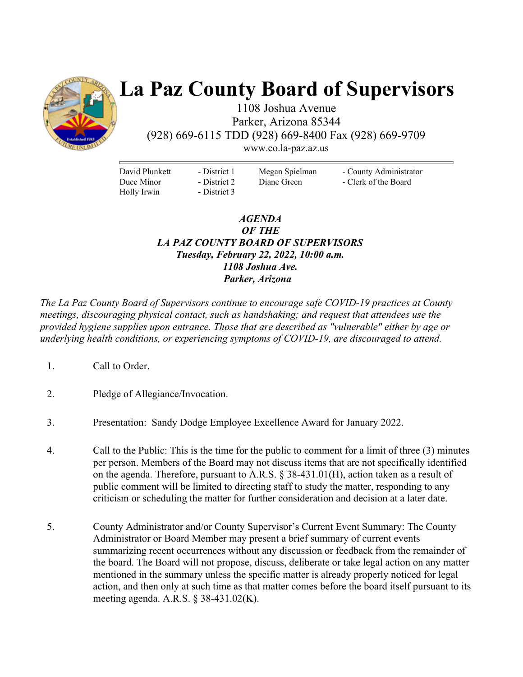

# **La Paz County Board of Supervisors**

1108 Joshua Avenue Parker, Arizona 85344 (928) 669-6115 TDD (928) 669-8400 Fax (928) 669-9709

www.co.la-paz.az.us

David Plunkett Duce Minor Holly Irwin

- District 1 - District 2 - District 3 Megan Spielman Diane Green

- County Administrator - Clerk of the Board

### *AGENDA OF THE LA PAZ COUNTY BOARD OF SUPERVISORS Tuesday, February 22, 2022, 10:00 a.m. 1108 Joshua Ave. Parker, Arizona*

*The La Paz County Board of Supervisors continue to encourage safe COVID-19 practices at County meetings, discouraging physical contact, such as handshaking; and request that attendees use the provided hygiene supplies upon entrance. Those that are described as "vulnerable" either by age or underlying health conditions, or experiencing symptoms of COVID-19, are discouraged to attend.* 

- 1. Call to Order.
- 2. Pledge of Allegiance/Invocation.
- 3. Presentation: Sandy Dodge Employee Excellence Award for January 2022.
- 4. Call to the Public: This is the time for the public to comment for a limit of three (3) minutes per person. Members of the Board may not discuss items that are not specifically identified on the agenda. Therefore, pursuant to A.R.S. § 38-431.01(H), action taken as a result of public comment will be limited to directing staff to study the matter, responding to any criticism or scheduling the matter for further consideration and decision at a later date.
- 5. County Administrator and/or County Supervisor's Current Event Summary: The County Administrator or Board Member may present a brief summary of current events summarizing recent occurrences without any discussion or feedback from the remainder of the board. The Board will not propose, discuss, deliberate or take legal action on any matter mentioned in the summary unless the specific matter is already properly noticed for legal action, and then only at such time as that matter comes before the board itself pursuant to its meeting agenda. A.R.S. § 38-431.02(K).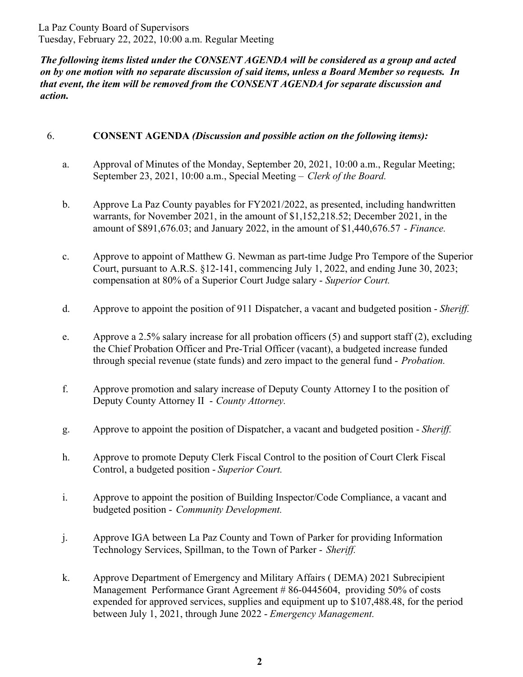La Paz County Board of Supervisors Tuesday, February 22, 2022, 10:00 a.m. Regular Meeting

*The following items listed under the CONSENT AGENDA will be considered as a group and acted on by one motion with no separate discussion of said items, unless a Board Member so requests. In that event, the item will be removed from the CONSENT AGENDA for separate discussion and action.* 

### 6. **CONSENT AGENDA** *(Discussion and possible action on the following items):*

- a. Approval of Minutes of the Monday, September 20, 2021, 10:00 a.m., Regular Meeting; September 23, 2021, 10:00 a.m., Special Meeting – *Clerk of the Board.*
- b. Approve La Paz County payables for FY2021/2022, as presented, including handwritten warrants, for November 2021, in the amount of \$1,152,218.52; December 2021, in the amount of \$891,676.03; and January 2022, in the amount of \$1,440,676.57 *- Finance.*
- c. Approve to appoint of Matthew G. Newman as part-time Judge Pro Tempore of the Superior Court, pursuant to A.R.S. §12-141, commencing July 1, 2022, and ending June 30, 2023; compensation at 80% of a Superior Court Judge salary - *Superior Court.*
- d. Approve to appoint the position of 911 Dispatcher, a vacant and budgeted position *Sheriff.*
- e. Approve a 2.5% salary increase for all probation officers (5) and support staff (2), excluding the Chief Probation Officer and Pre-Trial Officer (vacant), a budgeted increase funded through special revenue (state funds) and zero impact to the general fund - *Probation.*
- f. Approve promotion and salary increase of Deputy County Attorney I to the position of Deputy County Attorney II - *County Attorney.*
- g. Approve to appoint the position of Dispatcher, a vacant and budgeted position *Sheriff.*
- h. Approve to promote Deputy Clerk Fiscal Control to the position of Court Clerk Fiscal Control, a budgeted position - *Superior Court.*
- i. Approve to appoint the position of Building Inspector/Code Compliance, a vacant and budgeted position - *Community Development.*
- j. Approve IGA between La Paz County and Town of Parker for providing Information Technology Services, Spillman, to the Town of Parker - *Sheriff.*
- k. Approve Department of Emergency and Military Affairs ( DEMA) 2021 Subrecipient Management Performance Grant Agreement # 86-0445604, providing 50% of costs expended for approved services, supplies and equipment up to \$107,488.48, for the period between July 1, 2021, through June 2022 - *Emergency Management.*